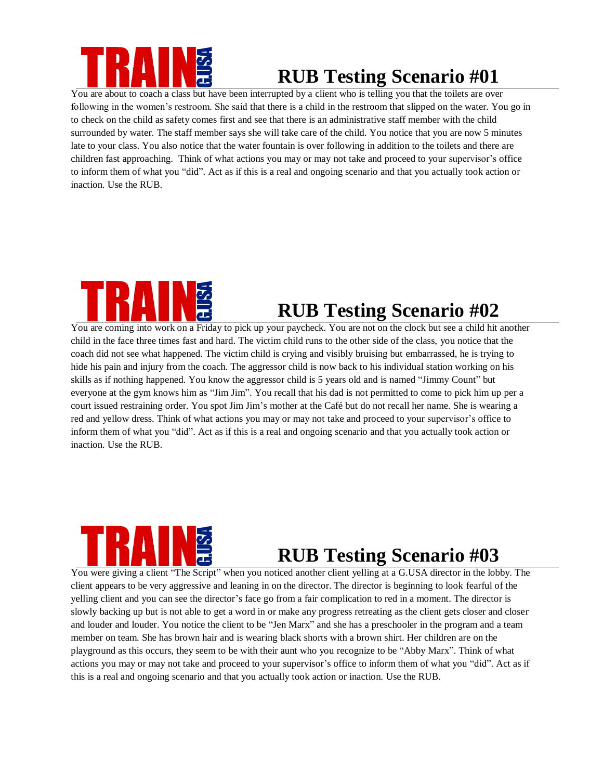

# **RUB Testing Scenario #01**

You are about to coach a class but have been interrupted by a client who is telling you that the toilets are over following in the women's restroom. She said that there is a child in the restroom that slipped on the water. You go in to check on the child as safety comes first and see that there is an administrative staff member with the child surrounded by water. The staff member says she will take care of the child. You notice that you are now 5 minutes late to your class. You also notice that the water fountain is over following in addition to the toilets and there are children fast approaching. Think of what actions you may or may not take and proceed to your supervisor's office to inform them of what you "did". Act as if this is a real and ongoing scenario and that you actually took action or inaction. Use the RUB.



# **RUB Testing Scenario #02**

You are coming into work on a Friday to pick up your paycheck. You are not on the clock but see a child hit another child in the face three times fast and hard. The victim child runs to the other side of the class, you notice that the coach did not see what happened. The victim child is crying and visibly bruising but embarrassed, he is trying to hide his pain and injury from the coach. The aggressor child is now back to his individual station working on his skills as if nothing happened. You know the aggressor child is 5 years old and is named "Jimmy Count" but everyone at the gym knows him as "Jim Jim". You recall that his dad is not permitted to come to pick him up per a court issued restraining order. You spot Jim Jim's mother at the Café but do not recall her name. She is wearing a red and yellow dress. Think of what actions you may or may not take and proceed to your supervisor's office to inform them of what you "did". Act as if this is a real and ongoing scenario and that you actually took action or inaction. Use the RUB.



## **RUB Testing Scenario #03**

You were giving a client "The Script" when you noticed another client yelling at a G.USA director in the lobby. The client appears to be very aggressive and leaning in on the director. The director is beginning to look fearful of the yelling client and you can see the director's face go from a fair complication to red in a moment. The director is slowly backing up but is not able to get a word in or make any progress retreating as the client gets closer and closer and louder and louder. You notice the client to be "Jen Marx" and she has a preschooler in the program and a team member on team. She has brown hair and is wearing black shorts with a brown shirt. Her children are on the playground as this occurs, they seem to be with their aunt who you recognize to be "Abby Marx". Think of what actions you may or may not take and proceed to your supervisor's office to inform them of what you "did". Act as if this is a real and ongoing scenario and that you actually took action or inaction. Use the RUB.